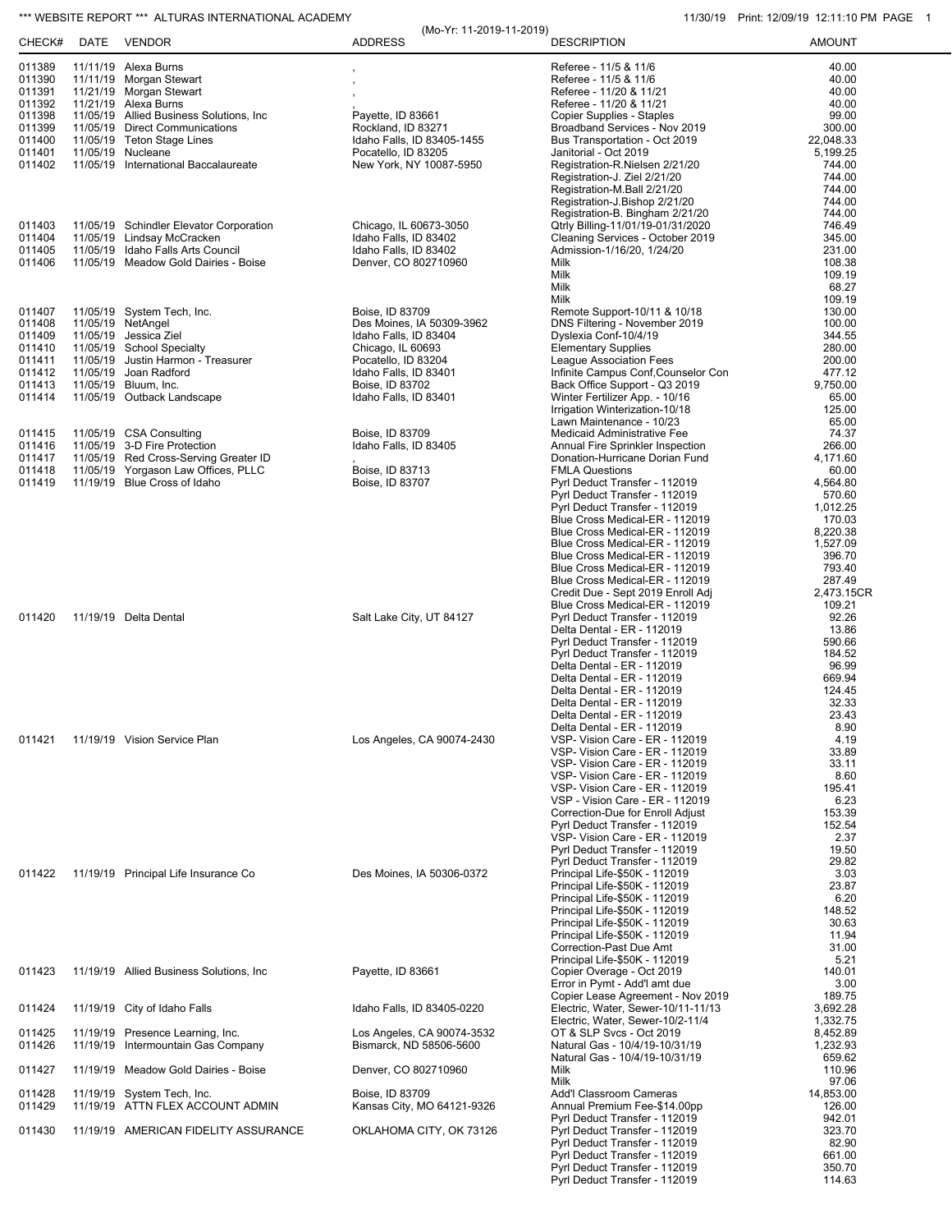## \*\*\* WEBSITE REPORT \*\*\* ALTURAS INTERNATIONAL ACADEMY 11/30 12:11:10 PM PAGE 1

| CHECK#           | DATE | <b>VENDOR</b>                                                    | (Mo-Yr: 11-2019-11-2019)<br><b>ADDRESS</b>         | <b>DESCRIPTION</b>                                                    | <b>AMOUNT</b>        |
|------------------|------|------------------------------------------------------------------|----------------------------------------------------|-----------------------------------------------------------------------|----------------------|
| 011389           |      | 11/11/19 Alexa Burns                                             |                                                    | Referee - 11/5 & 11/6                                                 | 40.00                |
| 011390           |      | 11/11/19 Morgan Stewart                                          |                                                    | Referee - 11/5 & 11/6                                                 | 40.00                |
| 011391           |      | 11/21/19 Morgan Stewart                                          |                                                    | Referee - 11/20 & 11/21                                               | 40.00                |
| 011392<br>011398 |      | 11/21/19 Alexa Burns<br>11/05/19 Allied Business Solutions, Inc. | Payette, ID 83661                                  | Referee - 11/20 & 11/21<br>Copier Supplies - Staples                  | 40.00<br>99.00       |
| 011399           |      | 11/05/19 Direct Communications                                   | Rockland, ID 83271                                 | Broadband Services - Nov 2019                                         | 300.00               |
| 011400           |      | 11/05/19 Teton Stage Lines                                       | Idaho Falls, ID 83405-1455                         | Bus Transportation - Oct 2019                                         | 22,048.33            |
| 011401           |      | 11/05/19 Nucleane                                                | Pocatello, ID 83205                                | Janitorial - Oct 2019                                                 | 5,199.25             |
| 011402           |      | 11/05/19 International Baccalaureate                             | New York, NY 10087-5950                            | Registration-R.Nielsen 2/21/20<br>Registration-J. Ziel 2/21/20        | 744.00<br>744.00     |
|                  |      |                                                                  |                                                    | Registration-M.Ball 2/21/20                                           | 744.00               |
|                  |      |                                                                  |                                                    | Registration-J.Bishop 2/21/20                                         | 744.00               |
| 011403           |      | 11/05/19 Schindler Elevator Corporation                          | Chicago, IL 60673-3050                             | Registration-B. Bingham 2/21/20                                       | 744.00<br>746.49     |
| 011404           |      | 11/05/19 Lindsay McCracken                                       | Idaho Falls, ID 83402                              | Qtrly Billing-11/01/19-01/31/2020<br>Cleaning Services - October 2019 | 345.00               |
| 011405           |      | 11/05/19 Idaho Falls Arts Council                                | Idaho Falls, ID 83402                              | Admission-1/16/20, 1/24/20                                            | 231.00               |
| 011406           |      | 11/05/19 Meadow Gold Dairies - Boise                             | Denver, CO 802710960                               | Milk                                                                  | 108.38               |
|                  |      |                                                                  |                                                    | Milk<br>Milk                                                          | 109.19<br>68.27      |
|                  |      |                                                                  |                                                    | Milk                                                                  | 109.19               |
| 011407           |      | 11/05/19 System Tech, Inc.                                       | Boise, ID 83709                                    | Remote Support-10/11 & 10/18                                          | 130.00               |
| 011408<br>011409 |      | 11/05/19 NetAngel<br>11/05/19 Jessica Ziel                       | Des Moines, IA 50309-3962<br>Idaho Falls, ID 83404 | DNS Filtering - November 2019<br>Dyslexia Conf-10/4/19                | 100.00<br>344.55     |
| 011410           |      | 11/05/19 School Specialty                                        | Chicago, IL 60693                                  | <b>Elementary Supplies</b>                                            | 280.00               |
| 011411           |      | 11/05/19 Justin Harmon - Treasurer                               | Pocatello, ID 83204                                | League Association Fees                                               | 200.00               |
| 011412<br>011413 |      | 11/05/19 Joan Radford<br>11/05/19 Bluum, Inc.                    | Idaho Falls, ID 83401                              | Infinite Campus Conf, Counselor Con<br>Back Office Support - Q3 2019  | 477.12               |
| 011414           |      | 11/05/19 Outback Landscape                                       | Boise, ID 83702<br>Idaho Falls, ID 83401           | Winter Fertilizer App. - 10/16                                        | 9,750.00<br>65.00    |
|                  |      |                                                                  |                                                    | Irrigation Winterization-10/18                                        | 125.00               |
|                  |      |                                                                  |                                                    | Lawn Maintenance - 10/23                                              | 65.00                |
| 011415<br>011416 |      | 11/05/19 CSA Consulting<br>11/05/19 3-D Fire Protection          | Boise, ID 83709<br>Idaho Falls, ID 83405           | Medicaid Administrative Fee<br>Annual Fire Sprinkler Inspection       | 74.37<br>266.00      |
| 011417           |      | 11/05/19 Red Cross-Serving Greater ID                            |                                                    | Donation-Hurricane Dorian Fund                                        | 4,171.60             |
| 011418           |      | 11/05/19 Yorgason Law Offices, PLLC                              | Boise, ID 83713                                    | <b>FMLA Questions</b>                                                 | 60.00                |
| 011419           |      | 11/19/19 Blue Cross of Idaho                                     | Boise, ID 83707                                    | Pyrl Deduct Transfer - 112019<br>Pyrl Deduct Transfer - 112019        | 4,564.80<br>570.60   |
|                  |      |                                                                  |                                                    | Pyrl Deduct Transfer - 112019                                         | 1,012.25             |
|                  |      |                                                                  |                                                    | Blue Cross Medical-ER - 112019                                        | 170.03               |
|                  |      |                                                                  |                                                    | Blue Cross Medical-ER - 112019<br>Blue Cross Medical-ER - 112019      | 8,220.38<br>1,527.09 |
|                  |      |                                                                  |                                                    | Blue Cross Medical-ER - 112019                                        | 396.70               |
|                  |      |                                                                  |                                                    | Blue Cross Medical-ER - 112019                                        | 793.40               |
|                  |      |                                                                  |                                                    | Blue Cross Medical-ER - 112019<br>Credit Due - Sept 2019 Enroll Adj   | 287.49<br>2,473.15CR |
|                  |      |                                                                  |                                                    | Blue Cross Medical-ER - 112019                                        | 109.21               |
| 011420           |      | 11/19/19 Delta Dental                                            | Salt Lake City, UT 84127                           | Pyrl Deduct Transfer - 112019                                         | 92.26                |
|                  |      |                                                                  |                                                    | Delta Dental - ER - 112019<br>Pyrl Deduct Transfer - 112019           | 13.86<br>590.66      |
|                  |      |                                                                  |                                                    | Pyrl Deduct Transfer - 112019                                         | 184.52               |
|                  |      |                                                                  |                                                    | Delta Dental - ER - 112019                                            | 96.99                |
|                  |      |                                                                  |                                                    | Delta Dental - ER - 112019<br>Delta Dental - ER - 112019              | 669.94<br>124.45     |
|                  |      |                                                                  |                                                    | Delta Dental - ER - 112019                                            | 32.33                |
|                  |      |                                                                  |                                                    | Delta Dental - ER - 112019                                            | 23.43                |
| 011421           |      | 11/19/19 Vision Service Plan                                     | Los Angeles, CA 90074-2430                         | Delta Dental - ER - 112019<br>VSP- Vision Care - ER - 112019          | 8.90<br>4.19         |
|                  |      |                                                                  |                                                    | VSP- Vision Care - ER - 112019                                        | 33.89                |
|                  |      |                                                                  |                                                    | VSP- Vision Care - ER - 112019                                        | 33.11                |
|                  |      |                                                                  |                                                    | VSP- Vision Care - ER - 112019<br>VSP- Vision Care - ER - 112019      | 8.60<br>195.41       |
|                  |      |                                                                  |                                                    | VSP - Vision Care - ER - 112019                                       | 6.23                 |
|                  |      |                                                                  |                                                    | Correction-Due for Enroll Adjust                                      | 153.39               |
|                  |      |                                                                  |                                                    | Pyrl Deduct Transfer - 112019<br>VSP- Vision Care - ER - 112019       | 152.54<br>2.37       |
|                  |      |                                                                  |                                                    | Pyrl Deduct Transfer - 112019                                         | 19.50                |
|                  |      |                                                                  |                                                    | Pyrl Deduct Transfer - 112019                                         | 29.82                |
| 011422           |      | 11/19/19 Principal Life Insurance Co                             | Des Moines, IA 50306-0372                          | Principal Life-\$50K - 112019<br>Principal Life-\$50K - 112019        | 3.03<br>23.87        |
|                  |      |                                                                  |                                                    | Principal Life-\$50K - 112019                                         | 6.20                 |
|                  |      |                                                                  |                                                    | Principal Life-\$50K - 112019                                         | 148.52               |
|                  |      |                                                                  |                                                    | Principal Life-\$50K - 112019<br>Principal Life-\$50K - 112019        | 30.63<br>11.94       |
|                  |      |                                                                  |                                                    | Correction-Past Due Amt                                               | 31.00                |
|                  |      |                                                                  |                                                    | Principal Life-\$50K - 112019                                         | 5.21                 |
| 011423           |      | 11/19/19 Allied Business Solutions, Inc.                         | Payette, ID 83661                                  | Copier Overage - Oct 2019<br>Error in Pymt - Add'l amt due            | 140.01<br>3.00       |
|                  |      |                                                                  |                                                    | Copier Lease Agreement - Nov 2019                                     | 189.75               |
| 011424           |      | 11/19/19 City of Idaho Falls                                     | Idaho Falls, ID 83405-0220                         | Electric, Water, Sewer-10/11-11/13                                    | 3,692.28             |
| 011425           |      | 11/19/19 Presence Learning, Inc.                                 | Los Angeles, CA 90074-3532                         | Electric, Water, Sewer-10/2-11/4<br>OT & SLP Svcs - Oct 2019          | 1,332.75<br>8,452.89 |
| 011426           |      | 11/19/19 Intermountain Gas Company                               | Bismarck, ND 58506-5600                            | Natural Gas - 10/4/19-10/31/19                                        | 1,232.93             |
|                  |      |                                                                  |                                                    | Natural Gas - 10/4/19-10/31/19                                        | 659.62               |
| 011427           |      | 11/19/19 Meadow Gold Dairies - Boise                             | Denver, CO 802710960                               | Milk<br>Milk                                                          | 110.96<br>97.06      |
| 011428           |      | 11/19/19 System Tech, Inc.                                       | Boise, ID 83709                                    | Add'l Classroom Cameras                                               | 14,853.00            |
| 011429           |      | 11/19/19 ATTN FLEX ACCOUNT ADMIN                                 | Kansas City, MO 64121-9326                         | Annual Premium Fee-\$14.00pp                                          | 126.00               |
| 011430           |      | 11/19/19 AMERICAN FIDELITY ASSURANCE                             | OKLAHOMA CITY, OK 73126                            | Pyrl Deduct Transfer - 112019<br>Pyrl Deduct Transfer - 112019        | 942.01<br>323.70     |
|                  |      |                                                                  |                                                    | Pyrl Deduct Transfer - 112019                                         | 82.90                |
|                  |      |                                                                  |                                                    | Pyrl Deduct Transfer - 112019                                         | 661.00               |
|                  |      |                                                                  |                                                    | Pyrl Deduct Transfer - 112019<br>Pyrl Deduct Transfer - 112019        | 350.70<br>114.63     |